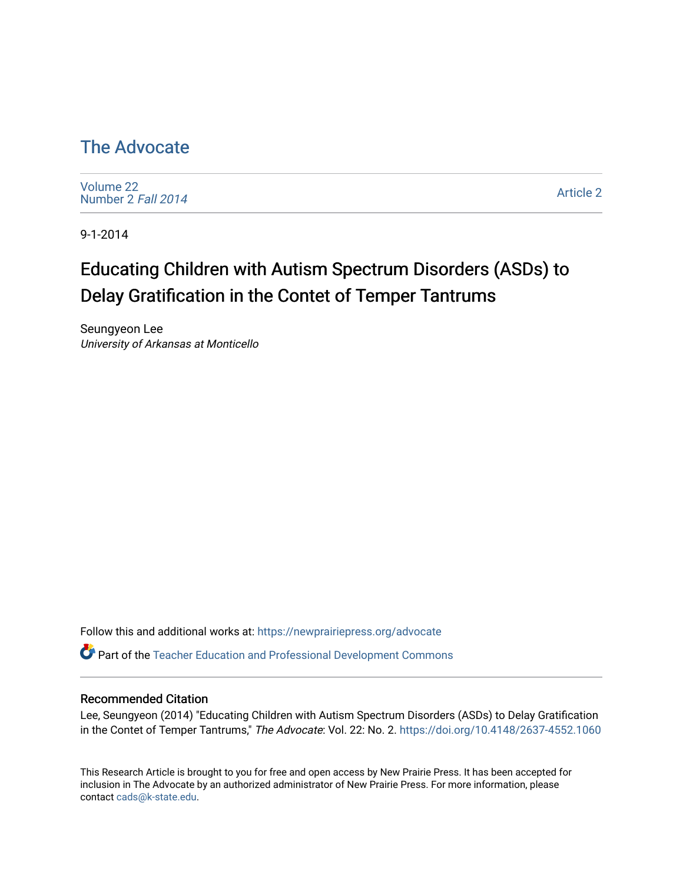## [The Advocate](https://newprairiepress.org/advocate)

[Volume 22](https://newprairiepress.org/advocate/vol22) [Number 2](https://newprairiepress.org/advocate/vol22/iss2) Fall 2014

[Article 2](https://newprairiepress.org/advocate/vol22/iss2/2) 

9-1-2014

# Educating Children with Autism Spectrum Disorders (ASDs) to Delay Gratification in the Contet of Temper Tantrums

Seungyeon Lee University of Arkansas at Monticello

Follow this and additional works at: [https://newprairiepress.org/advocate](https://newprairiepress.org/advocate?utm_source=newprairiepress.org%2Fadvocate%2Fvol22%2Fiss2%2F2&utm_medium=PDF&utm_campaign=PDFCoverPages) 

Part of the [Teacher Education and Professional Development Commons](http://network.bepress.com/hgg/discipline/803?utm_source=newprairiepress.org%2Fadvocate%2Fvol22%2Fiss2%2F2&utm_medium=PDF&utm_campaign=PDFCoverPages) 

#### Recommended Citation

Lee, Seungyeon (2014) "Educating Children with Autism Spectrum Disorders (ASDs) to Delay Gratification in the Contet of Temper Tantrums," The Advocate: Vol. 22: No. 2.<https://doi.org/10.4148/2637-4552.1060>

This Research Article is brought to you for free and open access by New Prairie Press. It has been accepted for inclusion in The Advocate by an authorized administrator of New Prairie Press. For more information, please contact [cads@k-state.edu](mailto:cads@k-state.edu).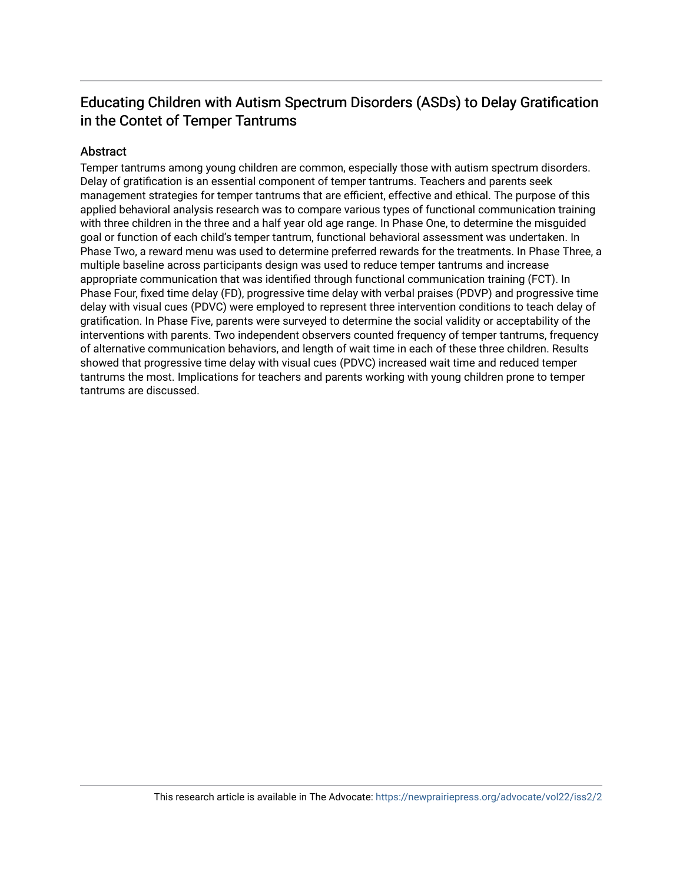#### Educating Children with Autism Spectrum Disorders (ASDs) to Delay Gratification in the Contet of Temper Tantrums

#### Abstract

Temper tantrums among young children are common, especially those with autism spectrum disorders. Delay of gratification is an essential component of temper tantrums. Teachers and parents seek management strategies for temper tantrums that are efficient, effective and ethical. The purpose of this applied behavioral analysis research was to compare various types of functional communication training with three children in the three and a half year old age range. In Phase One, to determine the misguided goal or function of each child's temper tantrum, functional behavioral assessment was undertaken. In Phase Two, a reward menu was used to determine preferred rewards for the treatments. In Phase Three, a multiple baseline across participants design was used to reduce temper tantrums and increase appropriate communication that was identified through functional communication training (FCT). In Phase Four, fixed time delay (FD), progressive time delay with verbal praises (PDVP) and progressive time delay with visual cues (PDVC) were employed to represent three intervention conditions to teach delay of gratification. In Phase Five, parents were surveyed to determine the social validity or acceptability of the interventions with parents. Two independent observers counted frequency of temper tantrums, frequency of alternative communication behaviors, and length of wait time in each of these three children. Results showed that progressive time delay with visual cues (PDVC) increased wait time and reduced temper tantrums the most. Implications for teachers and parents working with young children prone to temper tantrums are discussed.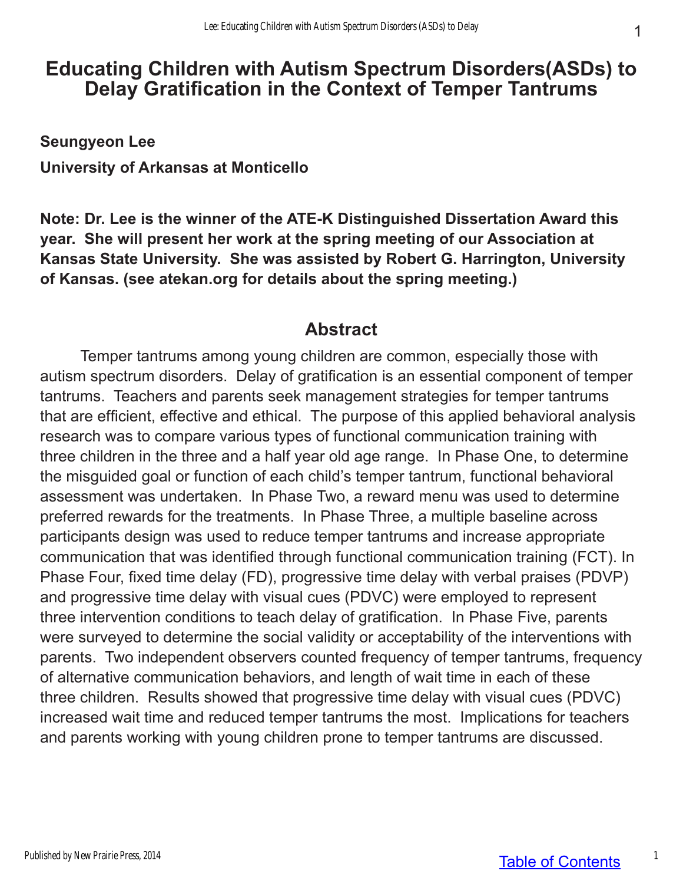# **Educating Children with Autism Spectrum Disorders(ASDs) to Delay Gratification in the Context of Temper Tantrums**

**Seungyeon Lee University of Arkansas at Monticello**

**Note: Dr. Lee is the winner of the ATE-K Distinguished Dissertation Award this year. She will present her work at the spring meeting of our Association at Kansas State University. She was assisted by Robert G. Harrington, University of Kansas. (see atekan.org for details about the spring meeting.)**

## **Abstract**

Temper tantrums among young children are common, especially those with autism spectrum disorders. Delay of gratification is an essential component of temper tantrums. Teachers and parents seek management strategies for temper tantrums that are efficient, effective and ethical. The purpose of this applied behavioral analysis research was to compare various types of functional communication training with three children in the three and a half year old age range. In Phase One, to determine the misguided goal or function of each child's temper tantrum, functional behavioral assessment was undertaken. In Phase Two, a reward menu was used to determine preferred rewards for the treatments. In Phase Three, a multiple baseline across participants design was used to reduce temper tantrums and increase appropriate communication that was identified through functional communication training (FCT). In Phase Four, fixed time delay (FD), progressive time delay with verbal praises (PDVP) and progressive time delay with visual cues (PDVC) were employed to represent three intervention conditions to teach delay of gratification. In Phase Five, parents were surveyed to determine the social validity or acceptability of the interventions with parents. Two independent observers counted frequency of temper tantrums, frequency of alternative communication behaviors, and length of wait time in each of these three children. Results showed that progressive time delay with visual cues (PDVC) increased wait time and reduced temper tantrums the most. Implications for teachers and parents working with young children prone to temper tantrums are discussed.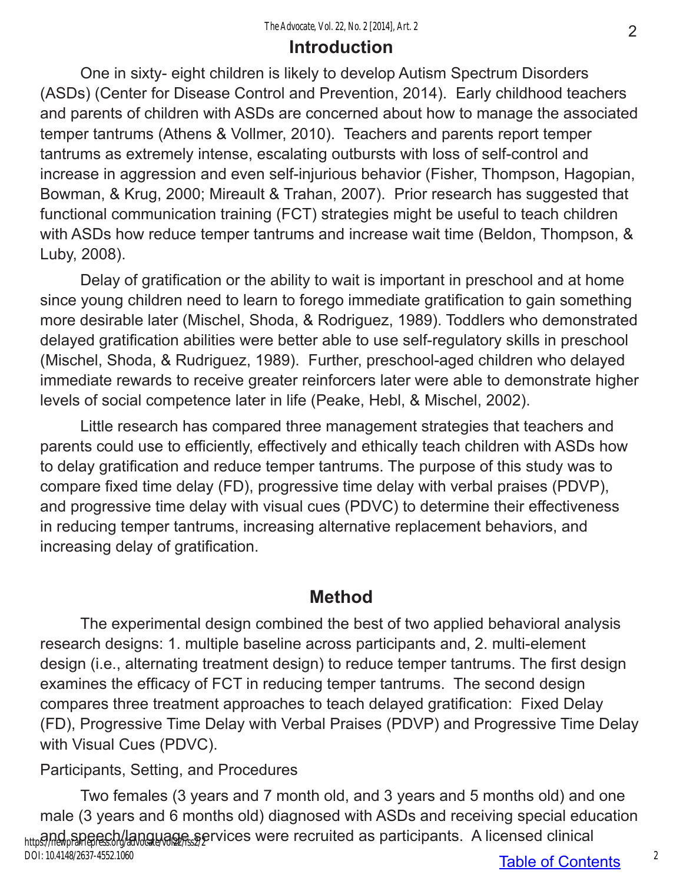## **Introduction**

One in sixty- eight children is likely to develop Autism Spectrum Disorders (ASDs) (Center for Disease Control and Prevention, 2014). Early childhood teachers and parents of children with ASDs are concerned about how to manage the associated temper tantrums (Athens & Vollmer, 2010). Teachers and parents report temper tantrums as extremely intense, escalating outbursts with loss of self-control and increase in aggression and even self-injurious behavior (Fisher, Thompson, Hagopian, Bowman, & Krug, 2000; Mireault & Trahan, 2007). Prior research has suggested that functional communication training (FCT) strategies might be useful to teach children with ASDs how reduce temper tantrums and increase wait time (Beldon, Thompson, & Luby, 2008).

Delay of gratification or the ability to wait is important in preschool and at home since young children need to learn to forego immediate gratification to gain something more desirable later (Mischel, Shoda, & Rodriguez, 1989). Toddlers who demonstrated delayed gratification abilities were better able to use self-regulatory skills in preschool (Mischel, Shoda, & Rudriguez, 1989). Further, preschool-aged children who delayed immediate rewards to receive greater reinforcers later were able to demonstrate higher levels of social competence later in life (Peake, Hebl, & Mischel, 2002).

Little research has compared three management strategies that teachers and parents could use to efficiently, effectively and ethically teach children with ASDs how to delay gratification and reduce temper tantrums. The purpose of this study was to compare fixed time delay (FD), progressive time delay with verbal praises (PDVP), and progressive time delay with visual cues (PDVC) to determine their effectiveness in reducing temper tantrums, increasing alternative replacement behaviors, and increasing delay of gratification.

## **Method**

The experimental design combined the best of two applied behavioral analysis research designs: 1. multiple baseline across participants and, 2. multi-element design (i.e., alternating treatment design) to reduce temper tantrums. The first design examines the efficacy of FCT in reducing temper tantrums. The second design compares three treatment approaches to teach delayed gratification: Fixed Delay (FD), Progressive Time Delay with Verbal Praises (PDVP) and Progressive Time Delay with Visual Cues (PDVC).

## Participants, Setting, and Procedures

Two females (3 years and 7 month old, and 3 years and 5 months old) and one male (3 years and 6 months old) diagnosed with ASDs and receiving special education https?/newpPanepresc.org/advocate/ages.services were recruited as participants. A licensed clinical DOI: 10.4148/2637-4552.1060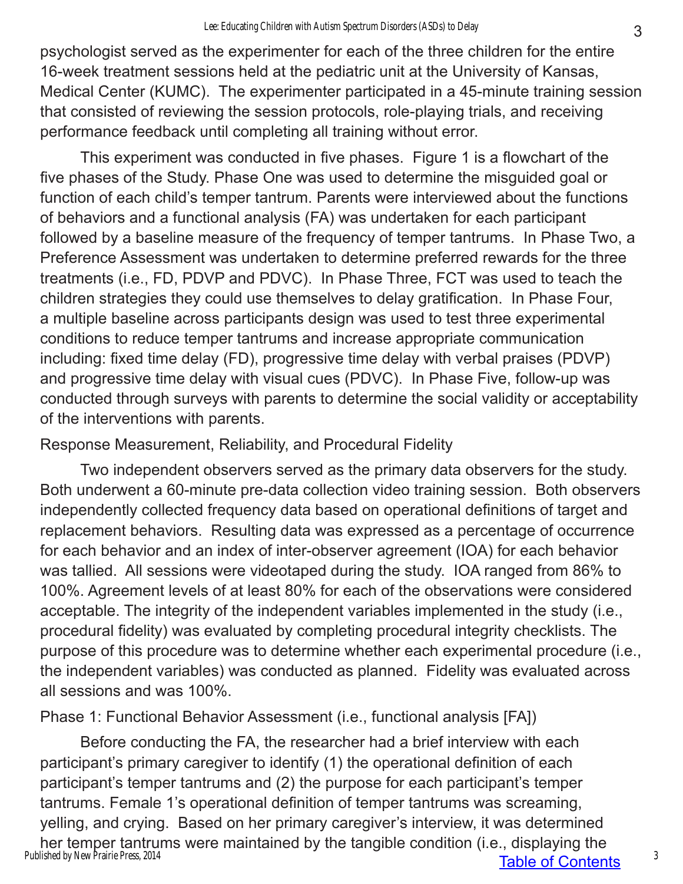psychologist served as the experimenter for each of the three children for the entire 16-week treatment sessions held at the pediatric unit at the University of Kansas, Medical Center (KUMC). The experimenter participated in a 45-minute training session that consisted of reviewing the session protocols, role-playing trials, and receiving performance feedback until completing all training without error.

This experiment was conducted in five phases. Figure 1 is a flowchart of the five phases of the Study. Phase One was used to determine the misguided goal or function of each child's temper tantrum. Parents were interviewed about the functions of behaviors and a functional analysis (FA) was undertaken for each participant followed by a baseline measure of the frequency of temper tantrums. In Phase Two, a Preference Assessment was undertaken to determine preferred rewards for the three treatments (i.e., FD, PDVP and PDVC). In Phase Three, FCT was used to teach the children strategies they could use themselves to delay gratification. In Phase Four, a multiple baseline across participants design was used to test three experimental conditions to reduce temper tantrums and increase appropriate communication including: fixed time delay (FD), progressive time delay with verbal praises (PDVP) and progressive time delay with visual cues (PDVC). In Phase Five, follow-up was conducted through surveys with parents to determine the social validity or acceptability of the interventions with parents.

### Response Measurement, Reliability, and Procedural Fidelity

Two independent observers served as the primary data observers for the study. Both underwent a 60-minute pre-data collection video training session. Both observers independently collected frequency data based on operational definitions of target and replacement behaviors. Resulting data was expressed as a percentage of occurrence for each behavior and an index of inter-observer agreement (IOA) for each behavior was tallied. All sessions were videotaped during the study. IOA ranged from 86% to 100%. Agreement levels of at least 80% for each of the observations were considered acceptable. The integrity of the independent variables implemented in the study (i.e., procedural fidelity) was evaluated by completing procedural integrity checklists. The purpose of this procedure was to determine whether each experimental procedure (i.e., the independent variables) was conducted as planned. Fidelity was evaluated across all sessions and was 100%.

Phase 1: Functional Behavior Assessment (i.e., functional analysis [FA])

Table of Contents Before conducting the FA, the researcher had a brief interview with each participant's primary caregiver to identify (1) the operational definition of each participant's temper tantrums and (2) the purpose for each participant's temper tantrums. Female 1's operational definition of temper tantrums was screaming, yelling, and crying. Based on her primary caregiver's interview, it was determined her temper tantrums were maintained by the tangible condition (i.e., displaying the Published by New Prairie Press, 2014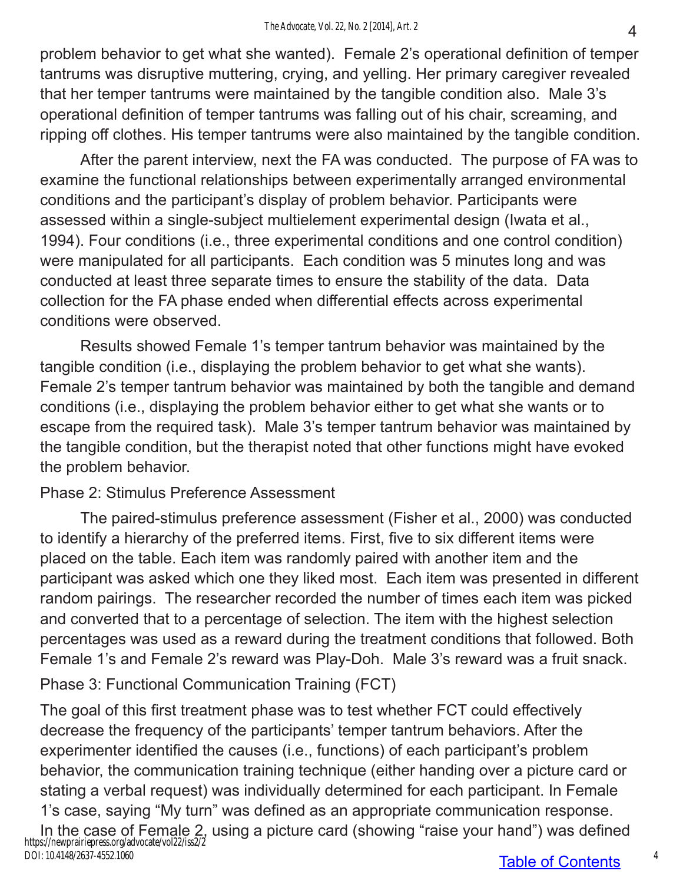problem behavior to get what she wanted). Female 2's operational definition of temper tantrums was disruptive muttering, crying, and yelling. Her primary caregiver revealed that her temper tantrums were maintained by the tangible condition also. Male 3's operational definition of temper tantrums was falling out of his chair, screaming, and ripping off clothes. His temper tantrums were also maintained by the tangible condition.

After the parent interview, next the FA was conducted. The purpose of FA was to examine the functional relationships between experimentally arranged environmental conditions and the participant's display of problem behavior. Participants were assessed within a single-subject multielement experimental design (Iwata et al., 1994). Four conditions (i.e., three experimental conditions and one control condition) were manipulated for all participants. Each condition was 5 minutes long and was conducted at least three separate times to ensure the stability of the data. Data collection for the FA phase ended when differential effects across experimental conditions were observed.

Results showed Female 1's temper tantrum behavior was maintained by the tangible condition (i.e., displaying the problem behavior to get what she wants). Female 2's temper tantrum behavior was maintained by both the tangible and demand conditions (i.e., displaying the problem behavior either to get what she wants or to escape from the required task). Male 3's temper tantrum behavior was maintained by the tangible condition, but the therapist noted that other functions might have evoked the problem behavior.

#### Phase 2: Stimulus Preference Assessment

The paired-stimulus preference assessment (Fisher et al., 2000) was conducted to identify a hierarchy of the preferred items. First, five to six different items were placed on the table. Each item was randomly paired with another item and the participant was asked which one they liked most. Each item was presented in different random pairings. The researcher recorded the number of times each item was picked and converted that to a percentage of selection. The item with the highest selection percentages was used as a reward during the treatment conditions that followed. Both Female 1's and Female 2's reward was Play-Doh. Male 3's reward was a fruit snack.

Phase 3: Functional Communication Training (FCT)

The goal of this first treatment phase was to test whether FCT could effectively decrease the frequency of the participants' temper tantrum behaviors. After the experimenter identified the causes (i.e., functions) of each participant's problem behavior, the communication training technique (either handing over a picture card or stating a verbal request) was individually determined for each participant. In Female 1's case, saying "My turn" was defined as an appropriate communication response.

In the case of Female 2, using a picture card (showing "raise your hand") was defined https://newprairiepress.org/advocate/vol22/iss2/2 DOI: 10.4148/2637-4552.1060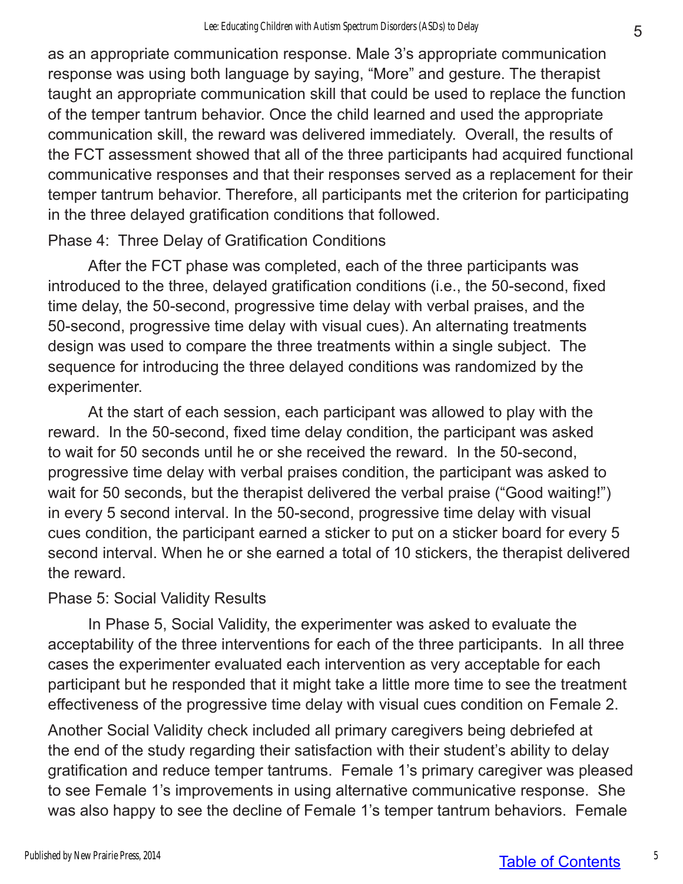as an appropriate communication response. Male 3's appropriate communication response was using both language by saying, "More" and gesture. The therapist taught an appropriate communication skill that could be used to replace the function of the temper tantrum behavior. Once the child learned and used the appropriate communication skill, the reward was delivered immediately. Overall, the results of the FCT assessment showed that all of the three participants had acquired functional communicative responses and that their responses served as a replacement for their temper tantrum behavior. Therefore, all participants met the criterion for participating in the three delayed gratification conditions that followed.

### Phase 4: Three Delay of Gratification Conditions

After the FCT phase was completed, each of the three participants was introduced to the three, delayed gratification conditions (i.e., the 50-second, fixed time delay, the 50-second, progressive time delay with verbal praises, and the 50-second, progressive time delay with visual cues). An alternating treatments design was used to compare the three treatments within a single subject. The sequence for introducing the three delayed conditions was randomized by the experimenter.

At the start of each session, each participant was allowed to play with the reward. In the 50-second, fixed time delay condition, the participant was asked to wait for 50 seconds until he or she received the reward. In the 50-second, progressive time delay with verbal praises condition, the participant was asked to wait for 50 seconds, but the therapist delivered the verbal praise ("Good waiting!") in every 5 second interval. In the 50-second, progressive time delay with visual cues condition, the participant earned a sticker to put on a sticker board for every 5 second interval. When he or she earned a total of 10 stickers, the therapist delivered the reward.

### Phase 5: Social Validity Results

In Phase 5, Social Validity, the experimenter was asked to evaluate the acceptability of the three interventions for each of the three participants. In all three cases the experimenter evaluated each intervention as very acceptable for each participant but he responded that it might take a little more time to see the treatment effectiveness of the progressive time delay with visual cues condition on Female 2.

Another Social Validity check included all primary caregivers being debriefed at the end of the study regarding their satisfaction with their student's ability to delay gratification and reduce temper tantrums. Female 1's primary caregiver was pleased to see Female 1's improvements in using alternative communicative response. She was also happy to see the decline of Female 1's temper tantrum behaviors. Female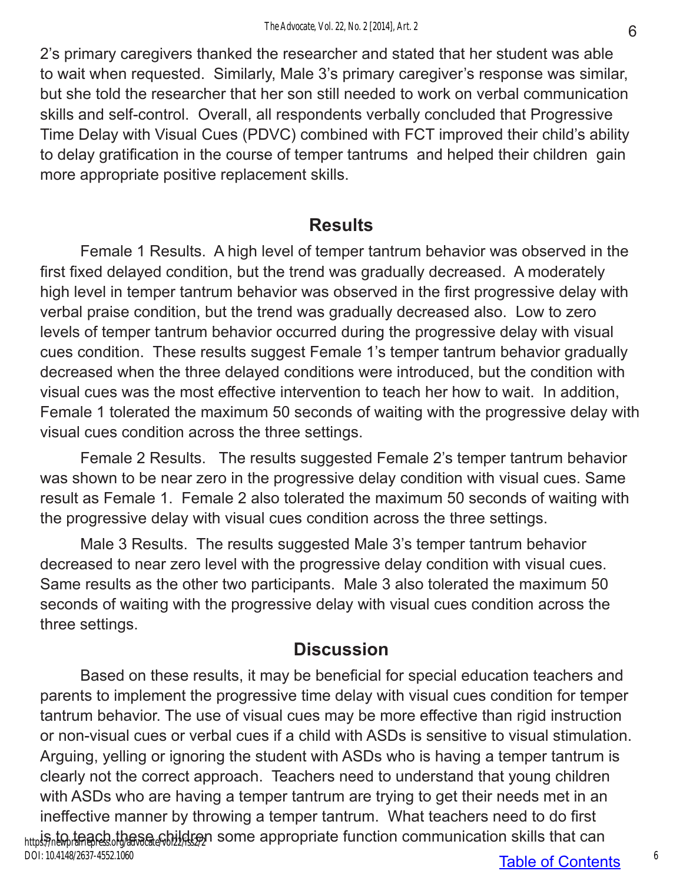2's primary caregivers thanked the researcher and stated that her student was able to wait when requested. Similarly, Male 3's primary caregiver's response was similar, but she told the researcher that her son still needed to work on verbal communication skills and self-control. Overall, all respondents verbally concluded that Progressive Time Delay with Visual Cues (PDVC) combined with FCT improved their child's ability to delay gratification in the course of temper tantrums and helped their children gain more appropriate positive replacement skills.

## **Results**

Female 1 Results. A high level of temper tantrum behavior was observed in the first fixed delayed condition, but the trend was gradually decreased. A moderately high level in temper tantrum behavior was observed in the first progressive delay with verbal praise condition, but the trend was gradually decreased also. Low to zero levels of temper tantrum behavior occurred during the progressive delay with visual cues condition. These results suggest Female 1's temper tantrum behavior gradually decreased when the three delayed conditions were introduced, but the condition with visual cues was the most effective intervention to teach her how to wait. In addition, Female 1 tolerated the maximum 50 seconds of waiting with the progressive delay with visual cues condition across the three settings.

Female 2 Results. The results suggested Female 2's temper tantrum behavior was shown to be near zero in the progressive delay condition with visual cues. Same result as Female 1. Female 2 also tolerated the maximum 50 seconds of waiting with the progressive delay with visual cues condition across the three settings.

Male 3 Results. The results suggested Male 3's temper tantrum behavior decreased to near zero level with the progressive delay condition with visual cues. Same results as the other two participants. Male 3 also tolerated the maximum 50 seconds of waiting with the progressive delay with visual cues condition across the three settings.

# **Discussion**

Based on these results, it may be beneficial for special education teachers and parents to implement the progressive time delay with visual cues condition for temper tantrum behavior. The use of visual cues may be more effective than rigid instruction or non-visual cues or verbal cues if a child with ASDs is sensitive to visual stimulation. Arguing, yelling or ignoring the student with ASDs who is having a temper tantrum is clearly not the correct approach. Teachers need to understand that young children with ASDs who are having a temper tantrum are trying to get their needs met in an ineffective manner by throwing a temper tantrum. What teachers need to do first <sub>http</sub>is, to teach these շել։Ավ։ այդ some appropriate function communication skills that can DOI: 10.4148/2637-4552.1060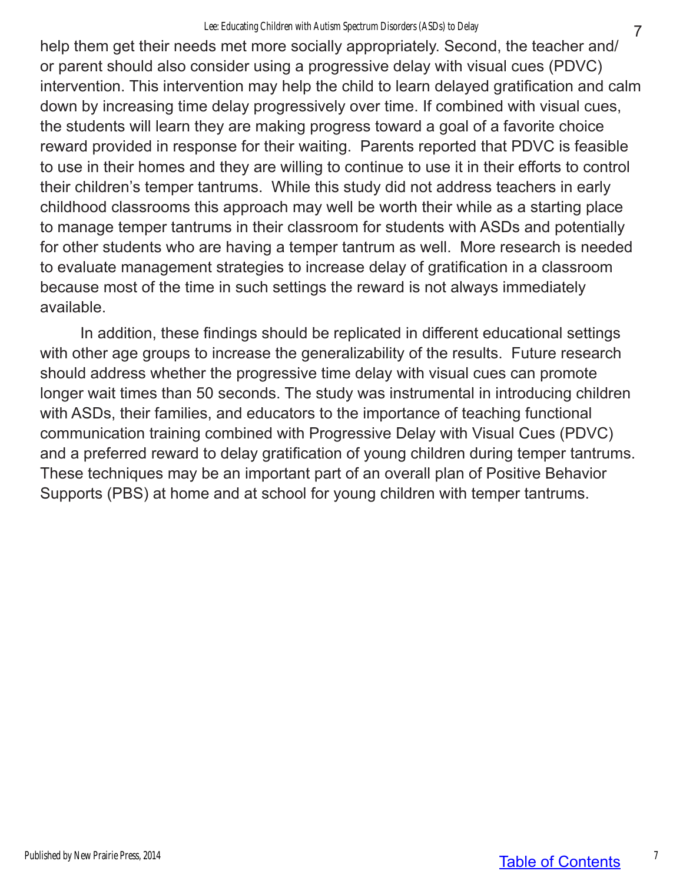#### Lee: Educating Children with Autism Spectrum Disorders (ASDs) to Delay

help them get their needs met more socially appropriately. Second, the teacher and/ or parent should also consider using a progressive delay with visual cues (PDVC) intervention. This intervention may help the child to learn delayed gratification and calm down by increasing time delay progressively over time. If combined with visual cues, the students will learn they are making progress toward a goal of a favorite choice reward provided in response for their waiting. Parents reported that PDVC is feasible to use in their homes and they are willing to continue to use it in their efforts to control their children's temper tantrums. While this study did not address teachers in early childhood classrooms this approach may well be worth their while as a starting place to manage temper tantrums in their classroom for students with ASDs and potentially for other students who are having a temper tantrum as well. More research is needed to evaluate management strategies to increase delay of gratification in a classroom because most of the time in such settings the reward is not always immediately available.

In addition, these findings should be replicated in different educational settings with other age groups to increase the generalizability of the results. Future research should address whether the progressive time delay with visual cues can promote longer wait times than 50 seconds. The study was instrumental in introducing children with ASDs, their families, and educators to the importance of teaching functional communication training combined with Progressive Delay with Visual Cues (PDVC) and a preferred reward to delay gratification of young children during temper tantrums. These techniques may be an important part of an overall plan of Positive Behavior Supports (PBS) at home and at school for young children with temper tantrums.

Published by New Prairie Press, 2014

7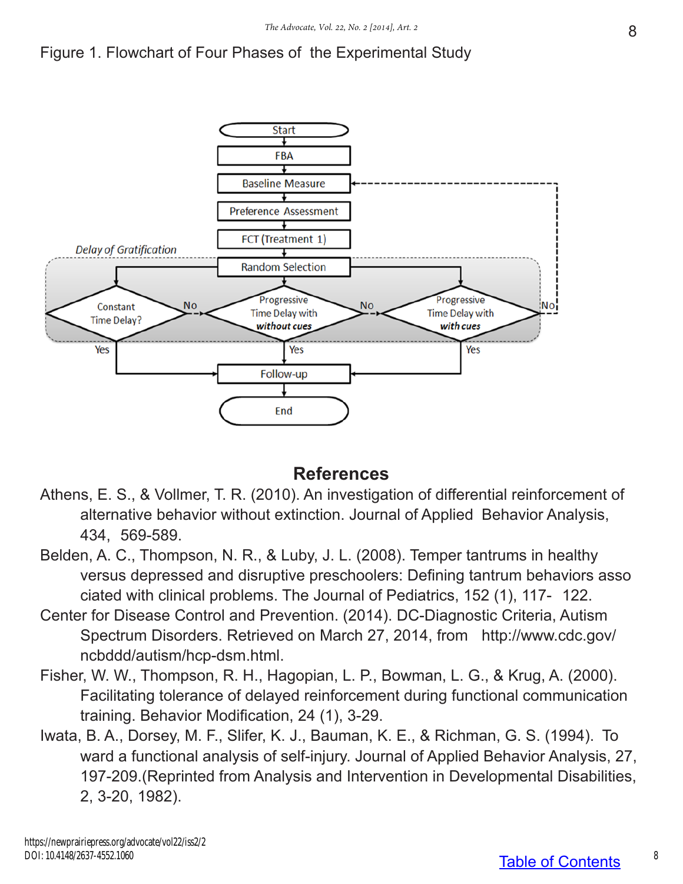



#### **References**

- Athens, E. S., & Vollmer, T. R. (2010). An investigation of differential reinforcement of alternative behavior without extinction. Journal of Applied Behavior Analysis, 434, 569-589.
- Belden, A. C., Thompson, N. R., & Luby, J. L. (2008). Temper tantrums in healthy versus depressed and disruptive preschoolers: Defining tantrum behaviors asso ciated with clinical problems. The Journal of Pediatrics, 152 (1), 117- 122.
- Center for Disease Control and Prevention. (2014). DC-Diagnostic Criteria, Autism Spectrum Disorders. Retrieved on March 27, 2014, from http://www.cdc.gov/ ncbddd/autism/hcp-dsm.html.
- Fisher, W. W., Thompson, R. H., Hagopian, L. P., Bowman, L. G., & Krug, A. (2000). Facilitating tolerance of delayed reinforcement during functional communication training. Behavior Modification, 24 (1), 3-29.
- Iwata, B. A., Dorsey, M. F., Slifer, K. J., Bauman, K. E., & Richman, G. S. (1994). To ward a functional analysis of self-injury. Journal of Applied Behavior Analysis, 27, 197-209.(Reprinted from Analysis and Intervention in Developmental Disabilities, 2, 3-20, 1982).